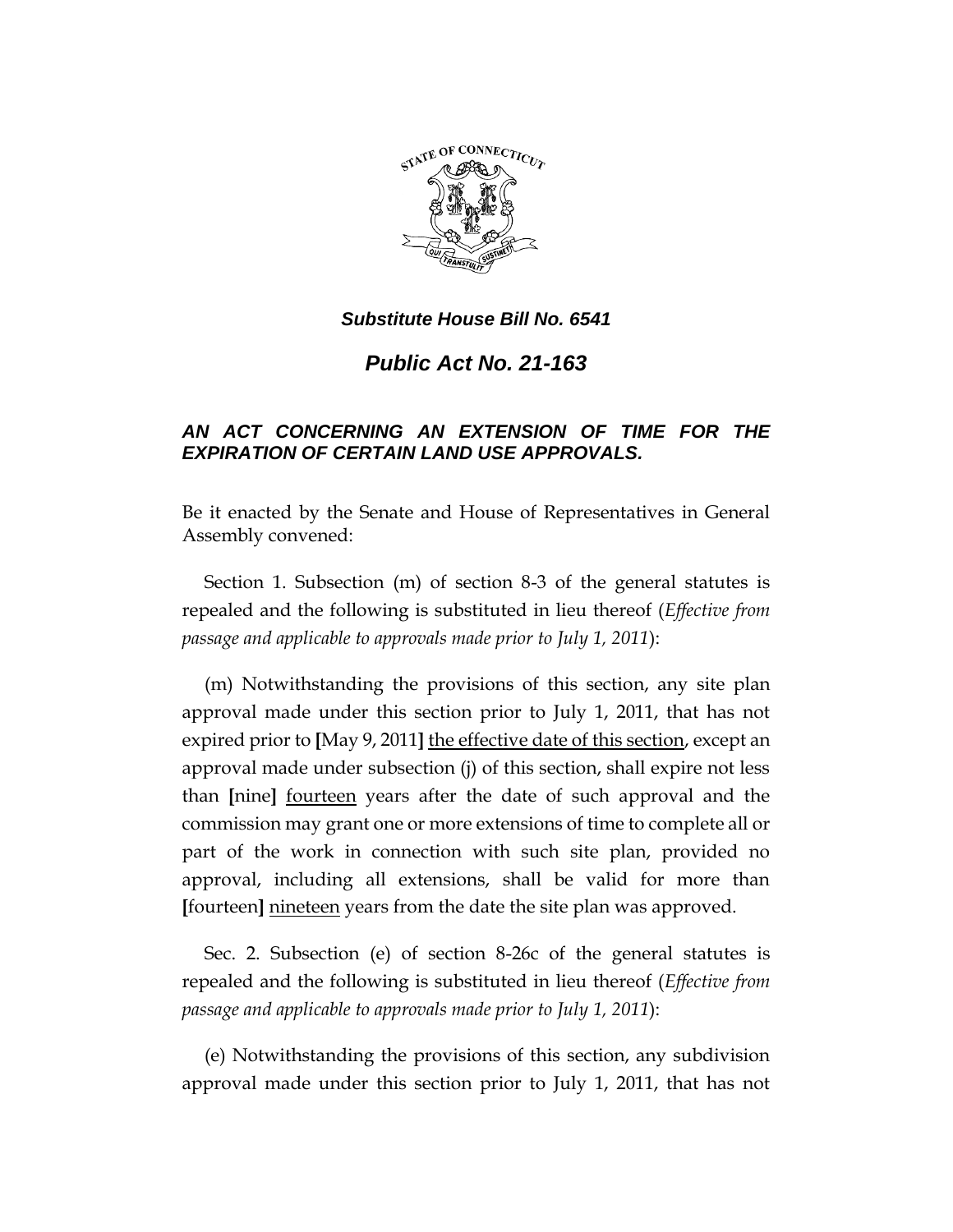

*Public Act No. 21-163*

# *AN ACT CONCERNING AN EXTENSION OF TIME FOR THE EXPIRATION OF CERTAIN LAND USE APPROVALS.*

Be it enacted by the Senate and House of Representatives in General Assembly convened:

Section 1. Subsection (m) of section 8-3 of the general statutes is repealed and the following is substituted in lieu thereof (*Effective from passage and applicable to approvals made prior to July 1, 2011*):

(m) Notwithstanding the provisions of this section, any site plan approval made under this section prior to July 1, 2011, that has not expired prior to **[**May 9, 2011**]** the effective date of this section, except an approval made under subsection (j) of this section, shall expire not less than **[**nine**]** fourteen years after the date of such approval and the commission may grant one or more extensions of time to complete all or part of the work in connection with such site plan, provided no approval, including all extensions, shall be valid for more than **[**fourteen**]** nineteen years from the date the site plan was approved.

Sec. 2. Subsection (e) of section 8-26c of the general statutes is repealed and the following is substituted in lieu thereof (*Effective from passage and applicable to approvals made prior to July 1, 2011*):

(e) Notwithstanding the provisions of this section, any subdivision approval made under this section prior to July 1, 2011, that has not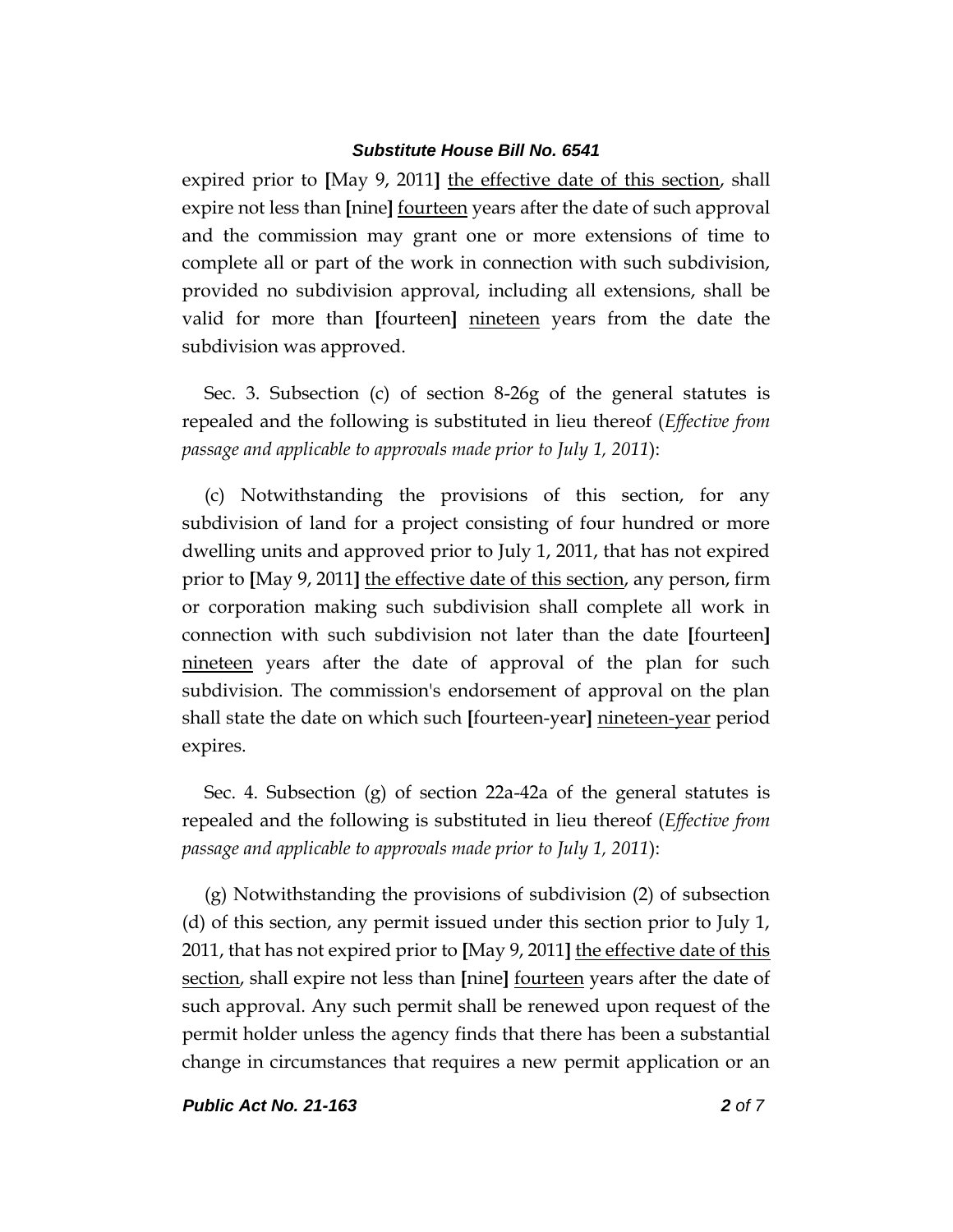expired prior to **[**May 9, 2011**]** the effective date of this section, shall expire not less than **[**nine**]** fourteen years after the date of such approval and the commission may grant one or more extensions of time to complete all or part of the work in connection with such subdivision, provided no subdivision approval, including all extensions, shall be valid for more than **[**fourteen**]** nineteen years from the date the subdivision was approved.

Sec. 3. Subsection (c) of section 8-26g of the general statutes is repealed and the following is substituted in lieu thereof (*Effective from passage and applicable to approvals made prior to July 1, 2011*):

(c) Notwithstanding the provisions of this section, for any subdivision of land for a project consisting of four hundred or more dwelling units and approved prior to July 1, 2011, that has not expired prior to **[**May 9, 2011**]** the effective date of this section, any person, firm or corporation making such subdivision shall complete all work in connection with such subdivision not later than the date **[**fourteen**]** nineteen years after the date of approval of the plan for such subdivision. The commission's endorsement of approval on the plan shall state the date on which such **[**fourteen-year**]** nineteen-year period expires.

Sec. 4. Subsection (g) of section 22a-42a of the general statutes is repealed and the following is substituted in lieu thereof (*Effective from passage and applicable to approvals made prior to July 1, 2011*):

(g) Notwithstanding the provisions of subdivision (2) of subsection (d) of this section, any permit issued under this section prior to July 1, 2011, that has not expired prior to **[**May 9, 2011**]** the effective date of this section, shall expire not less than **[**nine**]** fourteen years after the date of such approval. Any such permit shall be renewed upon request of the permit holder unless the agency finds that there has been a substantial change in circumstances that requires a new permit application or an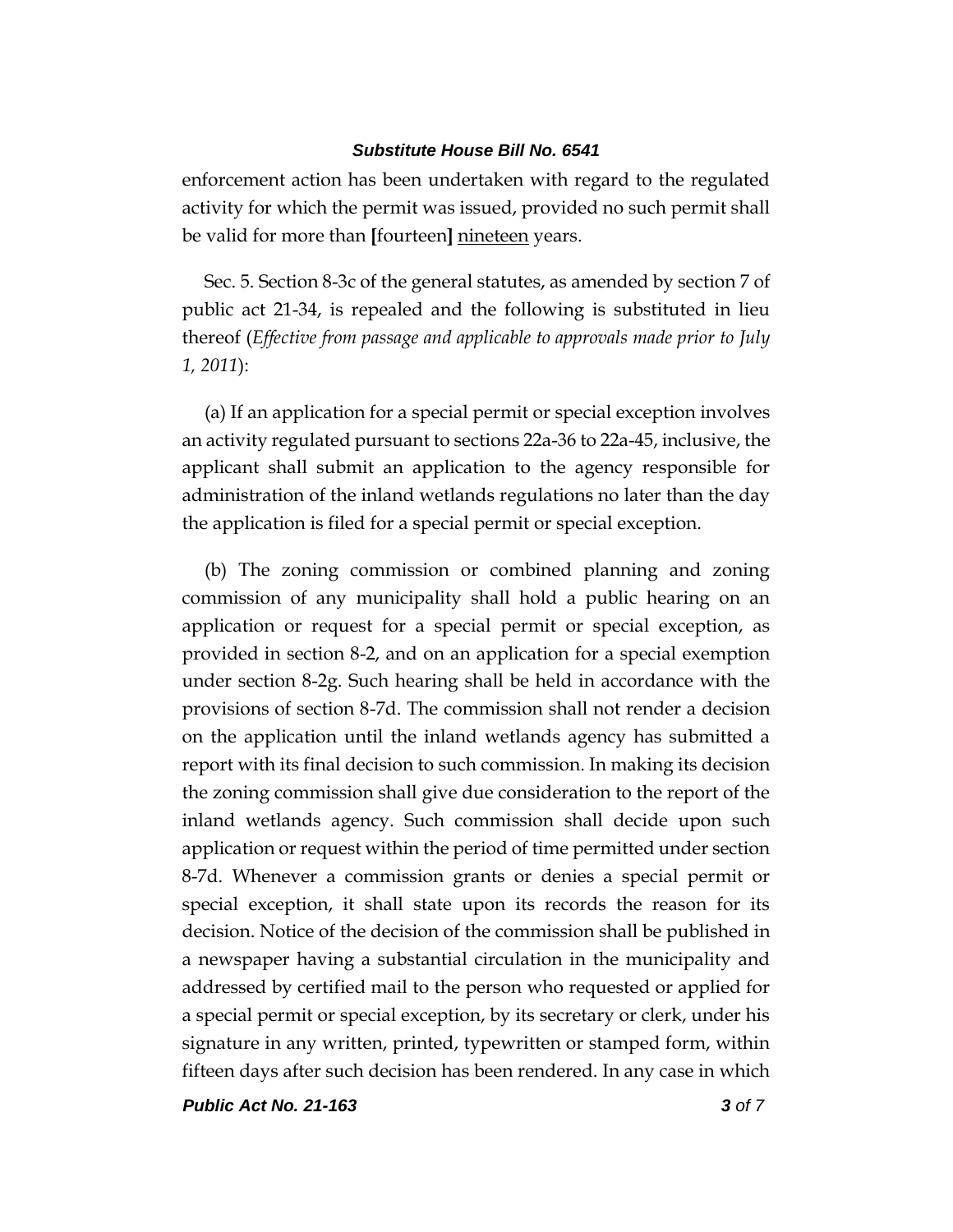enforcement action has been undertaken with regard to the regulated activity for which the permit was issued, provided no such permit shall be valid for more than **[**fourteen**]** nineteen years.

Sec. 5. Section 8-3c of the general statutes, as amended by section 7 of public act 21-34, is repealed and the following is substituted in lieu thereof (*Effective from passage and applicable to approvals made prior to July 1, 2011*):

(a) If an application for a special permit or special exception involves an activity regulated pursuant to sections 22a-36 to 22a-45, inclusive, the applicant shall submit an application to the agency responsible for administration of the inland wetlands regulations no later than the day the application is filed for a special permit or special exception.

(b) The zoning commission or combined planning and zoning commission of any municipality shall hold a public hearing on an application or request for a special permit or special exception, as provided in section 8-2, and on an application for a special exemption under section 8-2g. Such hearing shall be held in accordance with the provisions of section 8-7d. The commission shall not render a decision on the application until the inland wetlands agency has submitted a report with its final decision to such commission. In making its decision the zoning commission shall give due consideration to the report of the inland wetlands agency. Such commission shall decide upon such application or request within the period of time permitted under section 8-7d. Whenever a commission grants or denies a special permit or special exception, it shall state upon its records the reason for its decision. Notice of the decision of the commission shall be published in a newspaper having a substantial circulation in the municipality and addressed by certified mail to the person who requested or applied for a special permit or special exception, by its secretary or clerk, under his signature in any written, printed, typewritten or stamped form, within fifteen days after such decision has been rendered. In any case in which

*Public Act No. 21-163 3 of 7*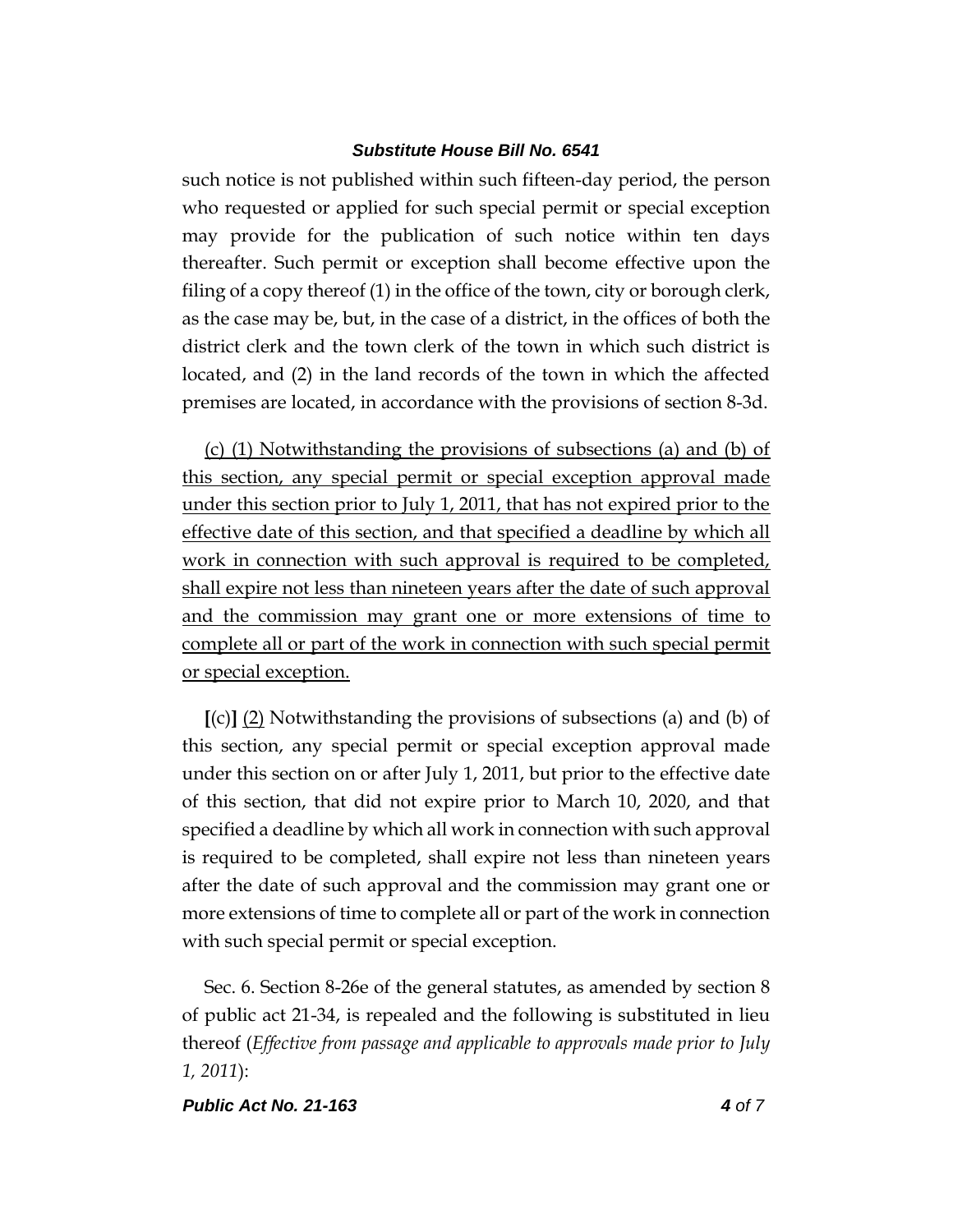such notice is not published within such fifteen-day period, the person who requested or applied for such special permit or special exception may provide for the publication of such notice within ten days thereafter. Such permit or exception shall become effective upon the filing of a copy thereof (1) in the office of the town, city or borough clerk, as the case may be, but, in the case of a district, in the offices of both the district clerk and the town clerk of the town in which such district is located, and (2) in the land records of the town in which the affected premises are located, in accordance with the provisions of section 8-3d.

(c) (1) Notwithstanding the provisions of subsections (a) and (b) of this section, any special permit or special exception approval made under this section prior to July 1, 2011, that has not expired prior to the effective date of this section, and that specified a deadline by which all work in connection with such approval is required to be completed, shall expire not less than nineteen years after the date of such approval and the commission may grant one or more extensions of time to complete all or part of the work in connection with such special permit or special exception.

**[**(c)**]** (2) Notwithstanding the provisions of subsections (a) and (b) of this section, any special permit or special exception approval made under this section on or after July 1, 2011, but prior to the effective date of this section, that did not expire prior to March 10, 2020, and that specified a deadline by which all work in connection with such approval is required to be completed, shall expire not less than nineteen years after the date of such approval and the commission may grant one or more extensions of time to complete all or part of the work in connection with such special permit or special exception.

Sec. 6. Section 8-26e of the general statutes, as amended by section 8 of public act 21-34, is repealed and the following is substituted in lieu thereof (*Effective from passage and applicable to approvals made prior to July 1, 2011*):

#### *Public Act No. 21-163 4 of 7*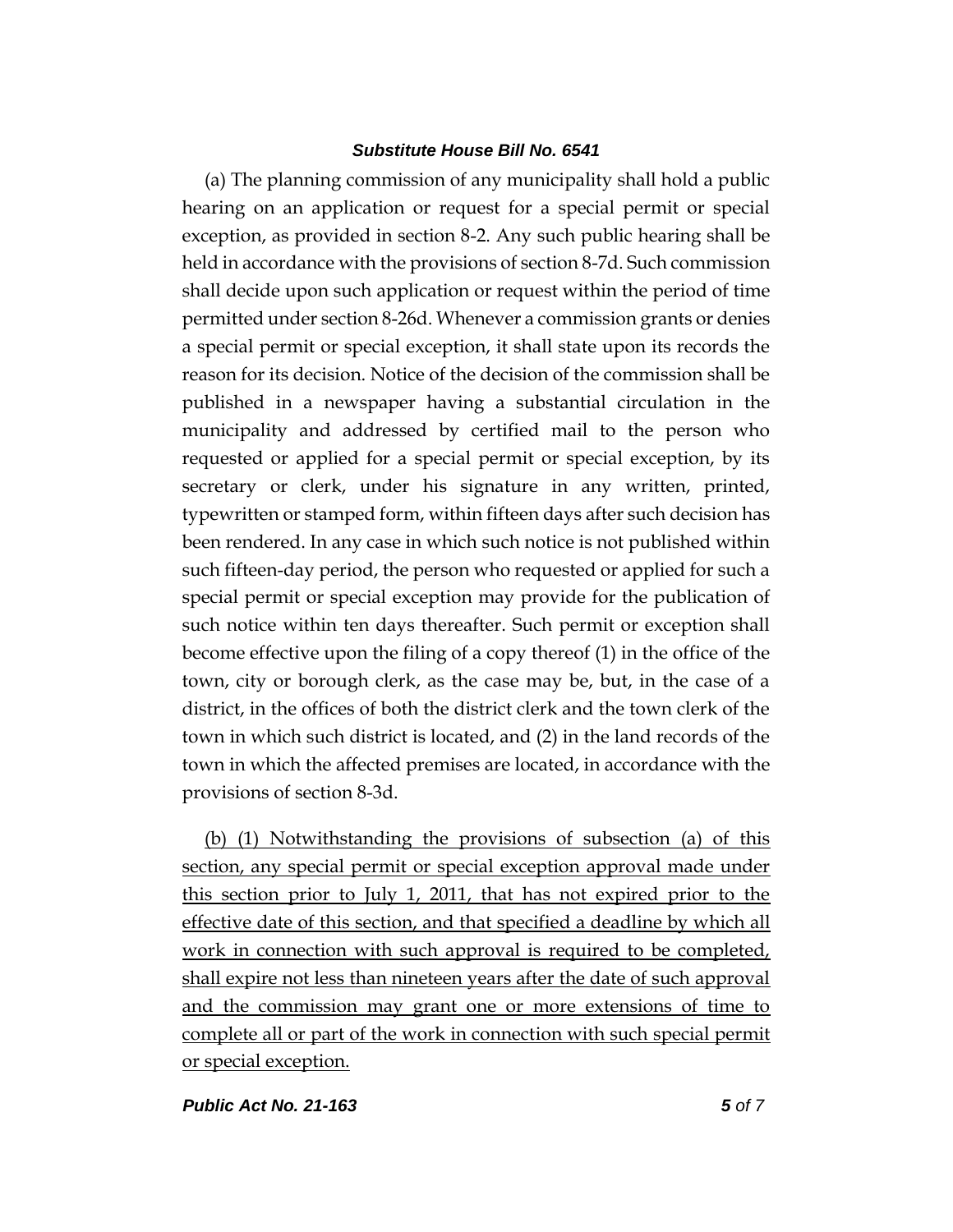(a) The planning commission of any municipality shall hold a public hearing on an application or request for a special permit or special exception, as provided in section 8-2. Any such public hearing shall be held in accordance with the provisions of section 8-7d. Such commission shall decide upon such application or request within the period of time permitted under section 8-26d. Whenever a commission grants or denies a special permit or special exception, it shall state upon its records the reason for its decision. Notice of the decision of the commission shall be published in a newspaper having a substantial circulation in the municipality and addressed by certified mail to the person who requested or applied for a special permit or special exception, by its secretary or clerk, under his signature in any written, printed, typewritten or stamped form, within fifteen days after such decision has been rendered. In any case in which such notice is not published within such fifteen-day period, the person who requested or applied for such a special permit or special exception may provide for the publication of such notice within ten days thereafter. Such permit or exception shall become effective upon the filing of a copy thereof (1) in the office of the town, city or borough clerk, as the case may be, but, in the case of a district, in the offices of both the district clerk and the town clerk of the town in which such district is located, and (2) in the land records of the town in which the affected premises are located, in accordance with the provisions of section 8-3d.

(b) (1) Notwithstanding the provisions of subsection (a) of this section, any special permit or special exception approval made under this section prior to July 1, 2011, that has not expired prior to the effective date of this section, and that specified a deadline by which all work in connection with such approval is required to be completed, shall expire not less than nineteen years after the date of such approval and the commission may grant one or more extensions of time to complete all or part of the work in connection with such special permit or special exception.

*Public Act No. 21-163 5 of 7*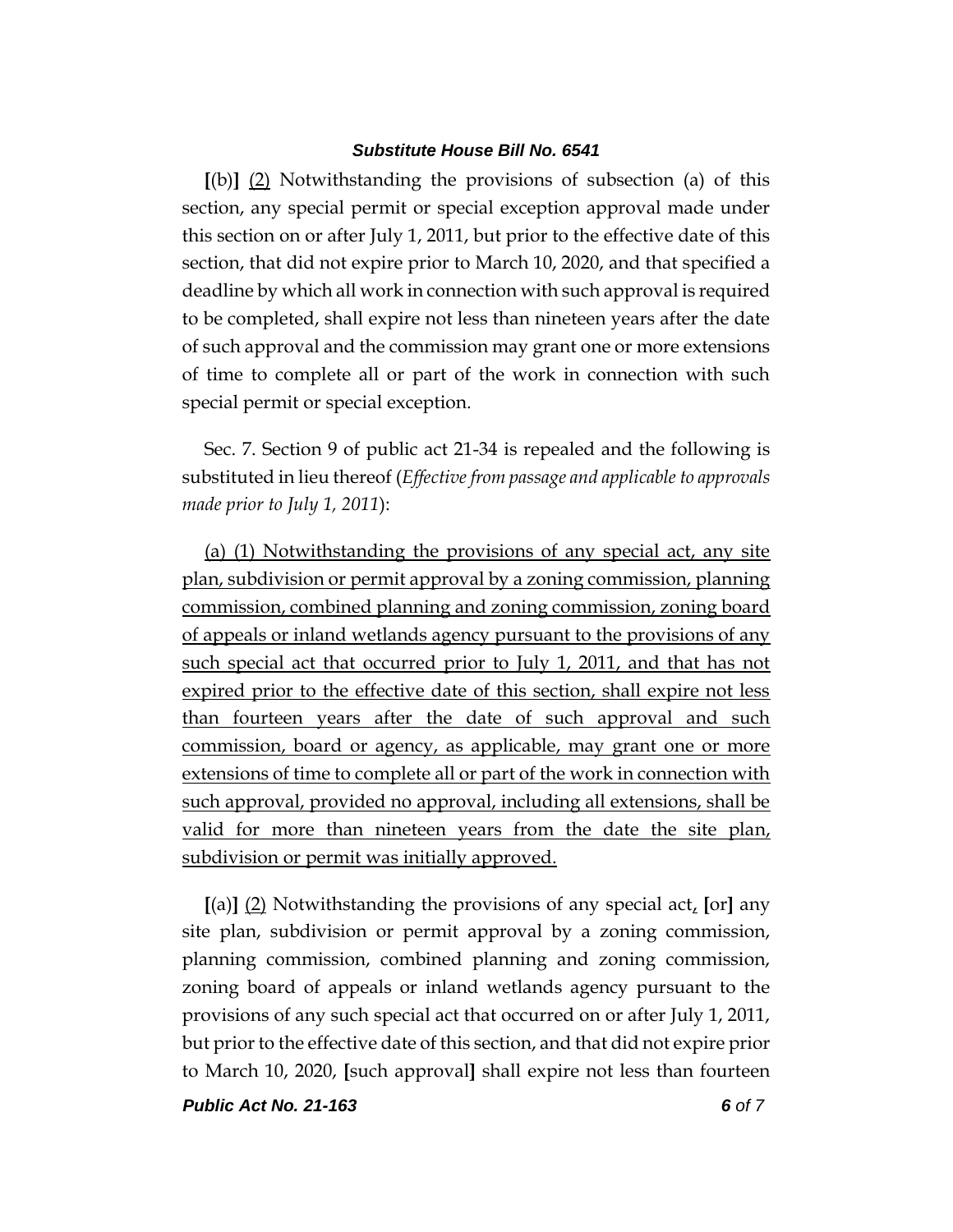**[**(b)**]** (2) Notwithstanding the provisions of subsection (a) of this section, any special permit or special exception approval made under this section on or after July 1, 2011, but prior to the effective date of this section, that did not expire prior to March 10, 2020, and that specified a deadline by which all work in connection with such approval is required to be completed, shall expire not less than nineteen years after the date of such approval and the commission may grant one or more extensions of time to complete all or part of the work in connection with such special permit or special exception.

Sec. 7. Section 9 of public act 21-34 is repealed and the following is substituted in lieu thereof (*Effective from passage and applicable to approvals made prior to July 1, 2011*):

(a) (1) Notwithstanding the provisions of any special act, any site plan, subdivision or permit approval by a zoning commission, planning commission, combined planning and zoning commission, zoning board of appeals or inland wetlands agency pursuant to the provisions of any such special act that occurred prior to July 1, 2011, and that has not expired prior to the effective date of this section, shall expire not less than fourteen years after the date of such approval and such commission, board or agency, as applicable, may grant one or more extensions of time to complete all or part of the work in connection with such approval, provided no approval, including all extensions, shall be valid for more than nineteen years from the date the site plan, subdivision or permit was initially approved.

**[**(a)**]** (2) Notwithstanding the provisions of any special act, **[**or**]** any site plan, subdivision or permit approval by a zoning commission, planning commission, combined planning and zoning commission, zoning board of appeals or inland wetlands agency pursuant to the provisions of any such special act that occurred on or after July 1, 2011, but prior to the effective date of this section, and that did not expire prior to March 10, 2020, **[**such approval**]** shall expire not less than fourteen

*Public Act No. 21-163 6 of 7*